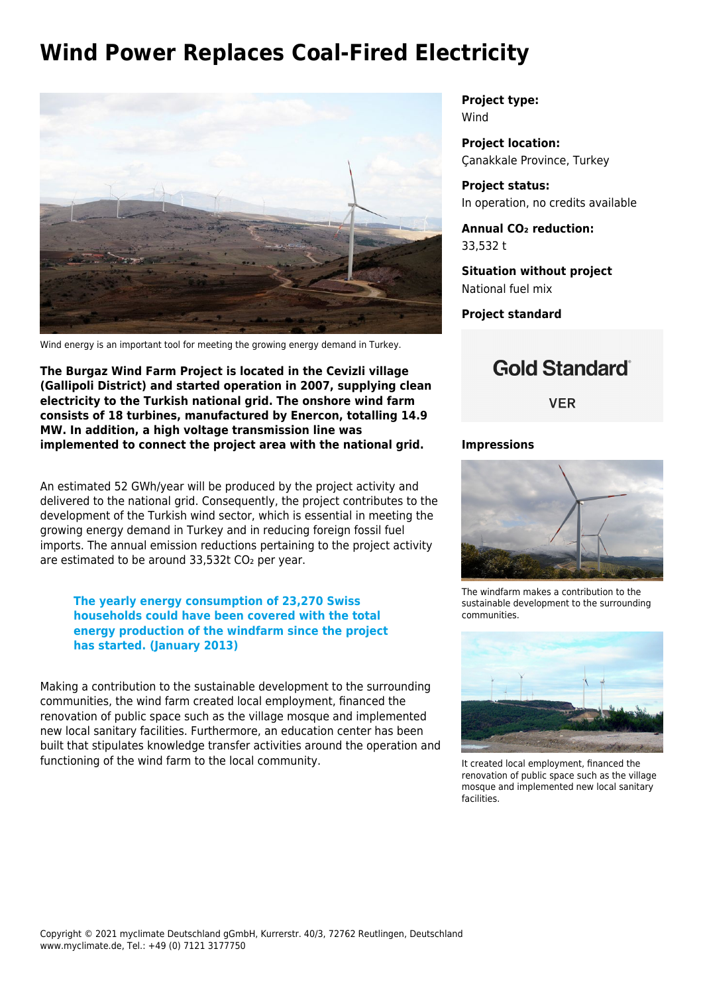## **Wind Power Replaces Coal-Fired Electricity**



Wind energy is an important tool for meeting the growing energy demand in Turkey.

**The Burgaz Wind Farm Project is located in the Cevizli village (Gallipoli District) and started operation in 2007, supplying clean electricity to the Turkish national grid. The onshore wind farm consists of 18 turbines, manufactured by Enercon, totalling 14.9 MW. In addition, a high voltage transmission line was implemented to connect the project area with the national grid.**

An estimated 52 GWh/year will be produced by the project activity and delivered to the national grid. Consequently, the project contributes to the development of the Turkish wind sector, which is essential in meeting the growing energy demand in Turkey and in reducing foreign fossil fuel imports. The annual emission reductions pertaining to the project activity are estimated to be around 33,532t CO<sub>2</sub> per year.

**The yearly energy consumption of 23,270 Swiss households could have been covered with the total energy production of the windfarm since the project has started. (January 2013)**

Making a contribution to the sustainable development to the surrounding communities, the wind farm created local employment, financed the renovation of public space such as the village mosque and implemented new local sanitary facilities. Furthermore, an education center has been built that stipulates knowledge transfer activities around the operation and functioning of the wind farm to the local community.

**Project type:** Wind

**Project location:** Çanakkale Province, Turkey

**Project status:** In operation, no credits available

**Annual CO₂ reduction:** 33,532 t

**Situation without project** National fuel mix

**Project standard**

## **Gold Standard**®

**VER** 

## **Impressions**



The windfarm makes a contribution to the sustainable development to the surrounding communities.



It created local employment, financed the renovation of public space such as the village mosque and implemented new local sanitary facilities.